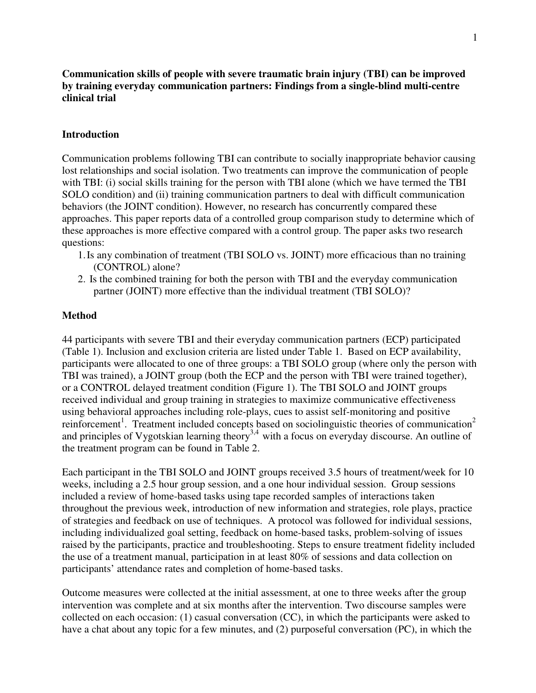# **Communication skills of people with severe traumatic brain injury (TBI) can be improved by training everyday communication partners: Findings from a single-blind multi-centre clinical trial**

# **Introduction**

Communication problems following TBI can contribute to socially inappropriate behavior causing lost relationships and social isolation. Two treatments can improve the communication of people with TBI: (i) social skills training for the person with TBI alone (which we have termed the TBI SOLO condition) and (ii) training communication partners to deal with difficult communication behaviors (the JOINT condition). However, no research has concurrently compared these approaches. This paper reports data of a controlled group comparison study to determine which of these approaches is more effective compared with a control group. The paper asks two research questions:

- 1.Is any combination of treatment (TBI SOLO vs. JOINT) more efficacious than no training (CONTROL) alone?
- 2. Is the combined training for both the person with TBI and the everyday communication partner (JOINT) more effective than the individual treatment (TBI SOLO)?

#### **Method**

44 participants with severe TBI and their everyday communication partners (ECP) participated (Table 1). Inclusion and exclusion criteria are listed under Table 1. Based on ECP availability, participants were allocated to one of three groups: a TBI SOLO group (where only the person with TBI was trained), a JOINT group (both the ECP and the person with TBI were trained together), or a CONTROL delayed treatment condition (Figure 1). The TBI SOLO and JOINT groups received individual and group training in strategies to maximize communicative effectiveness using behavioral approaches including role-plays, cues to assist self-monitoring and positive reinforcement<sup>1</sup>. Treatment included concepts based on sociolinguistic theories of communication<sup>2</sup> and principles of Vygotskian learning theory<sup>3,4</sup> with a focus on everyday discourse. An outline of the treatment program can be found in Table 2.

Each participant in the TBI SOLO and JOINT groups received 3.5 hours of treatment/week for 10 weeks, including a 2.5 hour group session, and a one hour individual session. Group sessions included a review of home-based tasks using tape recorded samples of interactions taken throughout the previous week, introduction of new information and strategies, role plays, practice of strategies and feedback on use of techniques. A protocol was followed for individual sessions, including individualized goal setting, feedback on home-based tasks, problem-solving of issues raised by the participants, practice and troubleshooting. Steps to ensure treatment fidelity included the use of a treatment manual, participation in at least 80% of sessions and data collection on participants' attendance rates and completion of home-based tasks.

Outcome measures were collected at the initial assessment, at one to three weeks after the group intervention was complete and at six months after the intervention. Two discourse samples were collected on each occasion: (1) casual conversation (CC), in which the participants were asked to have a chat about any topic for a few minutes, and (2) purposeful conversation (PC), in which the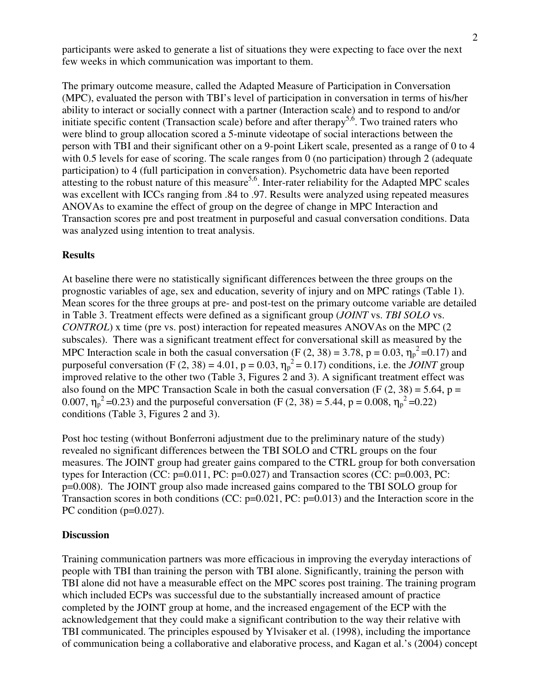participants were asked to generate a list of situations they were expecting to face over the next few weeks in which communication was important to them.

The primary outcome measure, called the Adapted Measure of Participation in Conversation (MPC), evaluated the person with TBI's level of participation in conversation in terms of his/her ability to interact or socially connect with a partner (Interaction scale) and to respond to and/or initiate specific content (Transaction scale) before and after therapy<sup>5,6</sup>. Two trained raters who were blind to group allocation scored a 5-minute videotape of social interactions between the person with TBI and their significant other on a 9-point Likert scale, presented as a range of 0 to 4 with 0.5 levels for ease of scoring. The scale ranges from 0 (no participation) through 2 (adequate participation) to 4 (full participation in conversation). Psychometric data have been reported attesting to the robust nature of this measure<sup>5,6</sup>. Inter-rater reliability for the Adapted MPC scales was excellent with ICCs ranging from .84 to .97. Results were analyzed using repeated measures ANOVAs to examine the effect of group on the degree of change in MPC Interaction and Transaction scores pre and post treatment in purposeful and casual conversation conditions. Data was analyzed using intention to treat analysis.

### **Results**

At baseline there were no statistically significant differences between the three groups on the prognostic variables of age, sex and education, severity of injury and on MPC ratings (Table 1). Mean scores for the three groups at pre- and post-test on the primary outcome variable are detailed in Table 3. Treatment effects were defined as a significant group (*JOINT* vs. *TBI SOLO* vs. *CONTROL*) x time (pre vs. post) interaction for repeated measures ANOVAs on the MPC (2 subscales). There was a significant treatment effect for conversational skill as measured by the MPC Interaction scale in both the casual conversation (F  $(2, 38) = 3.78$ , p = 0.03,  $\eta_p^2 = 0.17$ ) and purposeful conversation (F (2, 38) = 4.01, p = 0.03,  $\eta_p^2 = 0.17$ ) conditions, i.e. the *JOINT* group improved relative to the other two (Table 3, Figures 2 and 3). A significant treatment effect was also found on the MPC Transaction Scale in both the casual conversation (F  $(2, 38) = 5.64$ , p = 0.007,  $\eta_p^2$  =0.23) and the purposeful conversation (F (2, 38) = 5.44, p = 0.008,  $\eta_p^2$  =0.22) conditions (Table 3, Figures 2 and 3).

Post hoc testing (without Bonferroni adjustment due to the preliminary nature of the study) revealed no significant differences between the TBI SOLO and CTRL groups on the four measures. The JOINT group had greater gains compared to the CTRL group for both conversation types for Interaction (CC: p=0.011, PC: p=0.027) and Transaction scores (CC: p=0.003, PC: p=0.008). The JOINT group also made increased gains compared to the TBI SOLO group for Transaction scores in both conditions (CC: p=0.021, PC: p=0.013) and the Interaction score in the PC condition (p=0.027).

#### **Discussion**

Training communication partners was more efficacious in improving the everyday interactions of people with TBI than training the person with TBI alone. Significantly, training the person with TBI alone did not have a measurable effect on the MPC scores post training. The training program which included ECPs was successful due to the substantially increased amount of practice completed by the JOINT group at home, and the increased engagement of the ECP with the acknowledgement that they could make a significant contribution to the way their relative with TBI communicated. The principles espoused by Ylvisaker et al. (1998), including the importance of communication being a collaborative and elaborative process, and Kagan et al.'s (2004) concept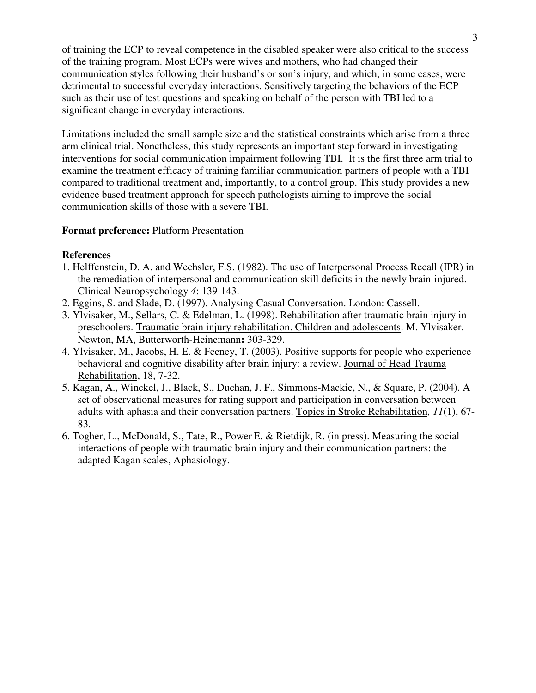of training the ECP to reveal competence in the disabled speaker were also critical to the success of the training program. Most ECPs were wives and mothers, who had changed their communication styles following their husband's or son's injury, and which, in some cases, were detrimental to successful everyday interactions. Sensitively targeting the behaviors of the ECP such as their use of test questions and speaking on behalf of the person with TBI led to a significant change in everyday interactions.

Limitations included the small sample size and the statistical constraints which arise from a three arm clinical trial. Nonetheless, this study represents an important step forward in investigating interventions for social communication impairment following TBI. It is the first three arm trial to examine the treatment efficacy of training familiar communication partners of people with a TBI compared to traditional treatment and, importantly, to a control group. This study provides a new evidence based treatment approach for speech pathologists aiming to improve the social communication skills of those with a severe TBI.

# **Format preference:** Platform Presentation

# **References**

- 1. Helffenstein, D. A. and Wechsler, F.S. (1982). The use of Interpersonal Process Recall (IPR) in the remediation of interpersonal and communication skill deficits in the newly brain-injured. Clinical Neuropsychology *4*: 139-143.
- 2. Eggins, S. and Slade, D. (1997). Analysing Casual Conversation. London: Cassell.
- 3. Ylvisaker, M., Sellars, C. & Edelman, L. (1998). Rehabilitation after traumatic brain injury in preschoolers. Traumatic brain injury rehabilitation. Children and adolescents. M. Ylvisaker. Newton, MA, Butterworth-Heinemann**:** 303-329.
- 4. Ylvisaker, M., Jacobs, H. E. & Feeney, T. (2003). Positive supports for people who experience behavioral and cognitive disability after brain injury: a review. Journal of Head Trauma Rehabilitation, 18, 7-32.
- 5. Kagan, A., Winckel, J., Black, S., Duchan, J. F., Simmons-Mackie, N., & Square, P. (2004). A set of observational measures for rating support and participation in conversation between adults with aphasia and their conversation partners. Topics in Stroke Rehabilitation*, 11*(1), 67- 83.
- 6. Togher, L., McDonald, S., Tate, R., Power E. & Rietdijk, R. (in press). Measuring the social interactions of people with traumatic brain injury and their communication partners: the adapted Kagan scales, Aphasiology.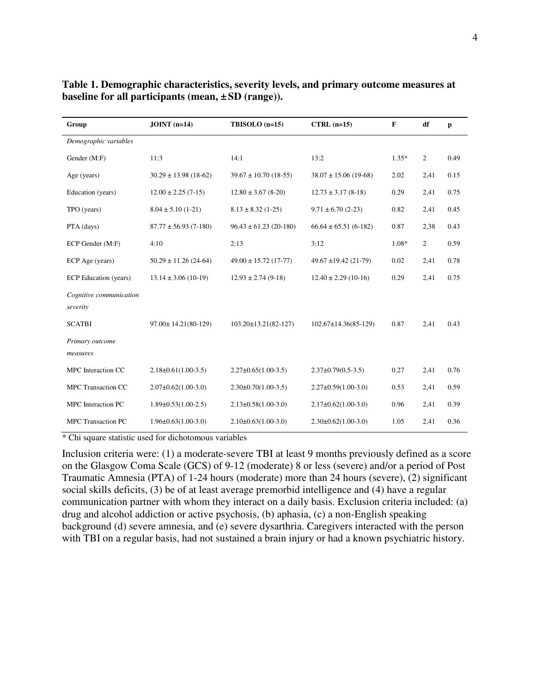| Group                               | $JOINT (n=14)$              | $TBISOLO$ (n=15)             | $CTRL (n=15)$                | F       | df             | p    |
|-------------------------------------|-----------------------------|------------------------------|------------------------------|---------|----------------|------|
| Demographic variables               |                             |                              |                              |         |                |      |
| Gender (M:F)                        | 11:3                        | 14:1<br>13:2                 |                              | $1.35*$ | $\overline{2}$ | 0.49 |
| Age (years)                         | $30.29 \pm 13.98$ (18-62)   | $39.67 \pm 10.70$ (18-55)    | $38.07 \pm 15.06$ (19-68)    | 2.02    | 2,41           | 0.15 |
| Education (years)                   | $12.00 \pm 2.25(7-15)$      | $12.80 \pm 3.67$ (8-20)      | $12.73 \pm 3.17$ (8-18)      | 0.29    | 2,41           | 0.75 |
| TPO (years)                         | $8.04 \pm 5.10(1-21)$       | $8.13 \pm 8.32$ (1-25)       | $9.71 \pm 6.70$ (2-23)       | 0.82    | 2,41           | 0.45 |
| PTA (days)                          | $87.77 \pm 56.93$ (7-180)   | $96.43 \pm 61.23$ (20-180)   | $66.64 \pm 65.51 (6-182)$    | 0.87    | 2,38           | 0.43 |
| ECP Gender (M:F)                    | 4:10                        | 2:13                         | 3:12                         | 1.08*   | 2              | 0.59 |
| ECP Age (years)                     | $50.29 \pm 11.26$ (24-64)   | $49.00 \pm 15.72$ (17-77)    | $49.67 \pm 19.42$ (21-79)    | 0.02    | 2,41           | 0.78 |
| ECP Education (years)               | $13.14 \pm 3.06$ (10-19)    | $12.93 \pm 2.74$ (9-18)      | $12.40 \pm 2.29$ (10-16)     | 0.29    | 2,41           | 0.75 |
| Cognitive communication<br>severity |                             |                              |                              |         |                |      |
| <b>SCATBI</b>                       | $97.00 \pm 14.21(80-129)$   | $103.20 \pm 13.21(82 - 127)$ | $102.67 \pm 14.36(85 - 129)$ | 0.87    | 2,41           | 0.43 |
| Primary outcome<br>measures         |                             |                              |                              |         |                |      |
| MPC Interaction CC                  | $2.18 \pm 0.61(1.00-3.5)$   | $2.27 \pm 0.65(1.00 - 3.5)$  | $2.37\pm0.79(0.5-3.5)$       | 0.27    | 2,41           | 0.76 |
| <b>MPC Transaction CC</b>           | $2.07\pm0.62(1.00-3.0)$     | $2.30\pm0.70(1.00-3.5)$      | $2.27\pm0.59(1.00-3.0)$      | 0.53    | 2,41           | 0.59 |
| MPC Interaction PC                  | $1.89 \pm 0.53(1.00 - 2.5)$ | $2.13 \pm 0.58(1.00 - 3.0)$  | $2.17\pm0.62(1.00-3.0)$      | 0.96    | 2,41           | 0.39 |
| MPC Transaction PC                  | $1.96 \pm 0.63(1.00 - 3.0)$ | $2.10\pm0.63(1.00-3.0)$      | $2.30\pm0.62(1.00-3.0)$      | 1.05    | 2,41           | 0.36 |

**Table 1. Demographic characteristics, severity levels, and primary outcome measures at baseline for all participants (mean, ±SD (range)).** 

\* Chi square statistic used for dichotomous variables

Inclusion criteria were: (1) a moderate-severe TBI at least 9 months previously defined as a score on the Glasgow Coma Scale (GCS) of 9-12 (moderate) 8 or less (severe) and/or a period of Post Traumatic Amnesia (PTA) of 1-24 hours (moderate) more than 24 hours (severe), (2) significant social skills deficits, (3) be of at least average premorbid intelligence and (4) have a regular communication partner with whom they interact on a daily basis. Exclusion criteria included: (a) drug and alcohol addiction or active psychosis, (b) aphasia, (c) a non-English speaking background (d) severe amnesia, and (e) severe dysarthria. Caregivers interacted with the person with TBI on a regular basis, had not sustained a brain injury or had a known psychiatric history.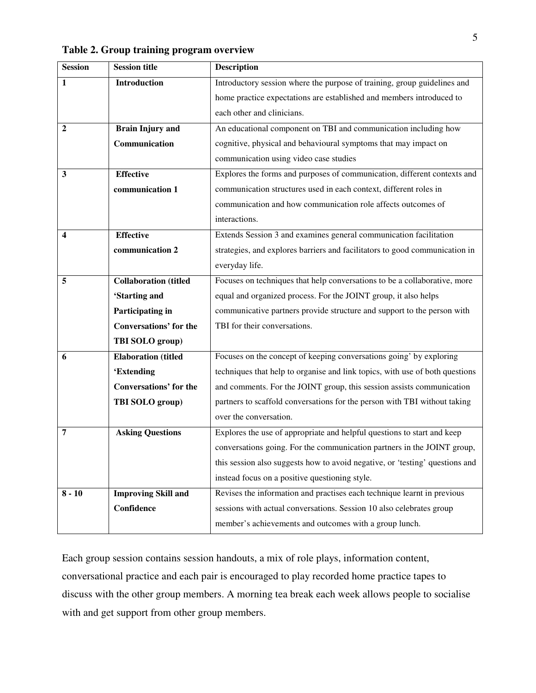| <b>Session</b> | <b>Session title</b>          | <b>Description</b>                                                           |  |  |  |  |
|----------------|-------------------------------|------------------------------------------------------------------------------|--|--|--|--|
| 1              | Introduction                  | Introductory session where the purpose of training, group guidelines and     |  |  |  |  |
|                |                               | home practice expectations are established and members introduced to         |  |  |  |  |
|                |                               | each other and clinicians.                                                   |  |  |  |  |
| $\mathbf{2}$   | <b>Brain Injury and</b>       | An educational component on TBI and communication including how              |  |  |  |  |
|                | Communication                 | cognitive, physical and behavioural symptoms that may impact on              |  |  |  |  |
|                |                               | communication using video case studies                                       |  |  |  |  |
| 3              | <b>Effective</b>              | Explores the forms and purposes of communication, different contexts and     |  |  |  |  |
|                | communication 1               | communication structures used in each context, different roles in            |  |  |  |  |
|                |                               | communication and how communication role affects outcomes of                 |  |  |  |  |
|                |                               | interactions.                                                                |  |  |  |  |
| 4              | <b>Effective</b>              | Extends Session 3 and examines general communication facilitation            |  |  |  |  |
|                | communication 2               | strategies, and explores barriers and facilitators to good communication in  |  |  |  |  |
|                |                               | everyday life.                                                               |  |  |  |  |
| 5              | <b>Collaboration</b> (titled  | Focuses on techniques that help conversations to be a collaborative, more    |  |  |  |  |
|                | 'Starting and                 | equal and organized process. For the JOINT group, it also helps              |  |  |  |  |
|                | Participating in              | communicative partners provide structure and support to the person with      |  |  |  |  |
|                | <b>Conversations' for the</b> | TBI for their conversations.                                                 |  |  |  |  |
|                | TBI SOLO group)               |                                                                              |  |  |  |  |
| 6              | <b>Elaboration</b> (titled    | Focuses on the concept of keeping conversations going' by exploring          |  |  |  |  |
|                | 'Extending                    | techniques that help to organise and link topics, with use of both questions |  |  |  |  |
|                | <b>Conversations' for the</b> | and comments. For the JOINT group, this session assists communication        |  |  |  |  |
|                | TBI SOLO group)               | partners to scaffold conversations for the person with TBI without taking    |  |  |  |  |
|                |                               | over the conversation.                                                       |  |  |  |  |
| 7              | <b>Asking Questions</b>       | Explores the use of appropriate and helpful questions to start and keep      |  |  |  |  |
|                |                               | conversations going. For the communication partners in the JOINT group,      |  |  |  |  |
|                |                               | this session also suggests how to avoid negative, or 'testing' questions and |  |  |  |  |
|                |                               | instead focus on a positive questioning style.                               |  |  |  |  |
| $8 - 10$       | <b>Improving Skill and</b>    | Revises the information and practises each technique learnt in previous      |  |  |  |  |
|                | Confidence                    | sessions with actual conversations. Session 10 also celebrates group         |  |  |  |  |
|                |                               | member's achievements and outcomes with a group lunch.                       |  |  |  |  |

**Table 2. Group training program overview** 

Each group session contains session handouts, a mix of role plays, information content, conversational practice and each pair is encouraged to play recorded home practice tapes to discuss with the other group members. A morning tea break each week allows people to socialise with and get support from other group members.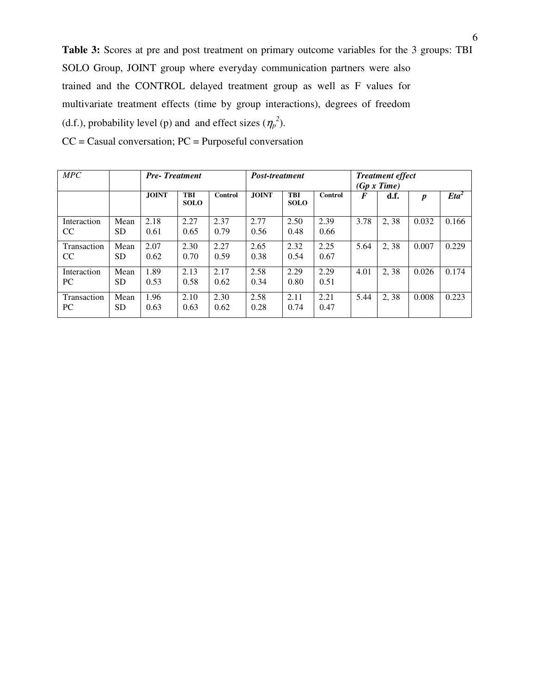**Table 3:** Scores at pre and post treatment on primary outcome variables for the 3 groups: TBI SOLO Group, JOINT group where everyday communication partners were also trained and the CONTROL delayed treatment group as well as F values for multivariate treatment effects (time by group interactions), degrees of freedom (d.f.), probability level (p) and and effect sizes  $(\eta_p^2)$ .

| MPC                          |                   | <b>Pre-Treatment</b> |                           | Post-treatment |              | <b>Treatment effect</b><br>(Gp x Time) |              |      |      |                  |         |
|------------------------------|-------------------|----------------------|---------------------------|----------------|--------------|----------------------------------------|--------------|------|------|------------------|---------|
|                              |                   | <b>JOINT</b>         | <b>TBI</b><br><b>SOLO</b> | Control        | <b>JOINT</b> | <b>TBI</b><br><b>SOLO</b>              | Control      | F    | d.f. | $\boldsymbol{p}$ | $Eta^2$ |
| Interaction<br><sub>CC</sub> | Mean<br>SD        | 2.18<br>0.61         | 2.27<br>0.65              | 2.37<br>0.79   | 2.77<br>0.56 | 2.50<br>0.48                           | 2.39<br>0.66 | 3.78 | 2.38 | 0.032            | 0.166   |
| Transaction<br><sub>CC</sub> | Mean<br><b>SD</b> | 2.07<br>0.62         | 2.30<br>0.70              | 2.27<br>0.59   | 2.65<br>0.38 | 2.32<br>0.54                           | 2.25<br>0.67 | 5.64 | 2,38 | 0.007            | 0.229   |
| Interaction<br>PC.           | Mean<br>SD        | 1.89<br>0.53         | 2.13<br>0.58              | 2.17<br>0.62   | 2.58<br>0.34 | 2.29<br>0.80                           | 2.29<br>0.51 | 4.01 | 2,38 | 0.026            | 0.174   |
| Transaction<br>PC.           | Mean<br>SD.       | 1.96<br>0.63         | 2.10<br>0.63              | 2.30<br>0.62   | 2.58<br>0.28 | 2.11<br>0.74                           | 2.21<br>0.47 | 5.44 | 2,38 | 0.008            | 0.223   |

CC = Casual conversation; PC = Purposeful conversation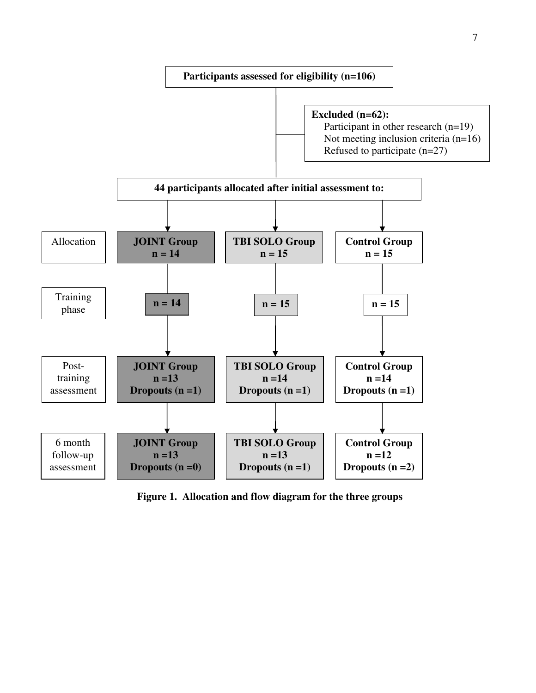

**Figure 1. Allocation and flow diagram for the three groups**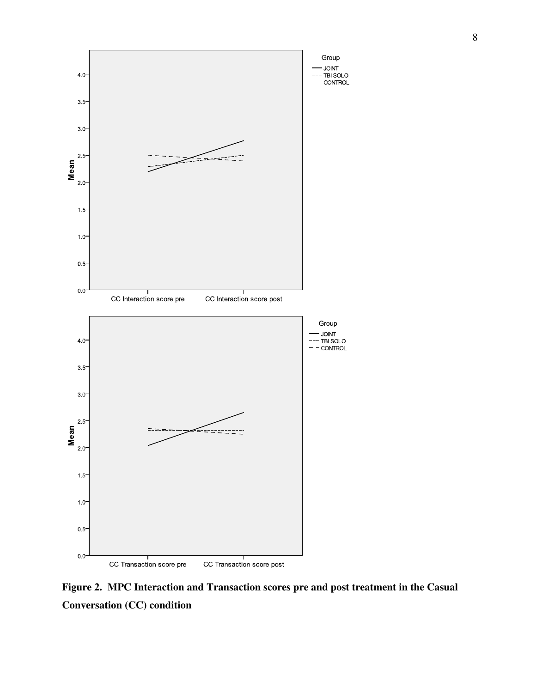

**Figure 2. MPC Interaction and Transaction scores pre and post treatment in the Casual Conversation (CC) condition**